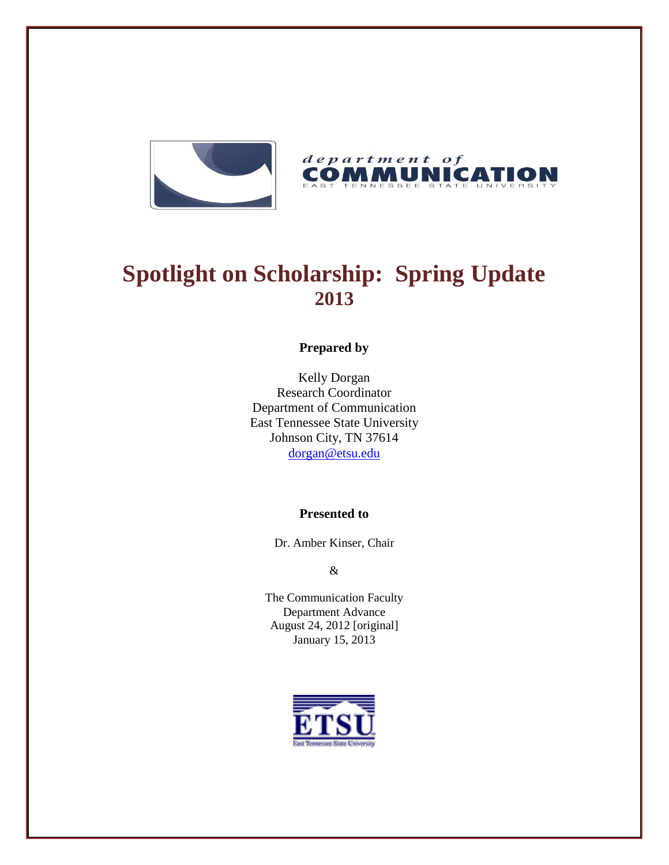



# **Spotlight on Scholarship: Spring Update 2013**

## **Prepared by**

Kelly Dorgan Research Coordinator Department of Communication East Tennessee State University Johnson City, TN 37614 [dorgan@etsu.edu](mailto:dorgan@etsu.edu)

## **Presented to**

Dr. Amber Kinser, Chair

&

The Communication Faculty Department Advance August 24, 2012 [original] January 15, 2013

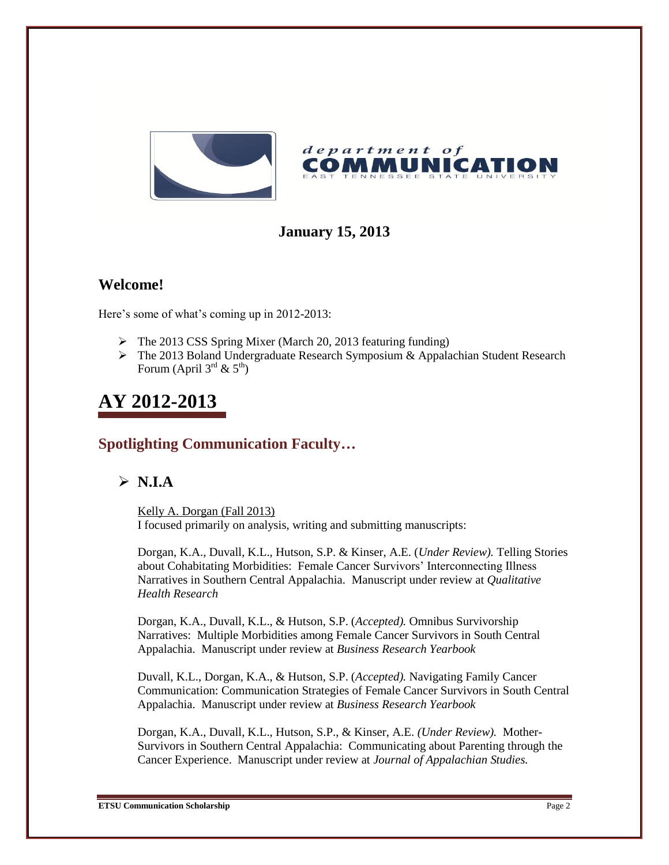

# **January 15, 2013**

## **Welcome!**

Here's some of what's coming up in 2012-2013:

- $\triangleright$  The 2013 CSS Spring Mixer (March 20, 2013 featuring funding)
- $\triangleright$  The 2013 Boland Undergraduate Research Symposium & Appalachian Student Research Forum (April  $3^{\text{rd}}$  &  $5^{\text{th}}$ )

# **AY 2012-2013**

## **Spotlighting Communication Faculty…**

## $\triangleright$  **N.I.A**

Kelly A. Dorgan (Fall 2013) I focused primarily on analysis, writing and submitting manuscripts:

Dorgan, K.A., Duvall, K.L., Hutson, S.P. & Kinser, A.E. (*Under Review).* Telling Stories about Cohabitating Morbidities: Female Cancer Survivors' Interconnecting Illness Narratives in Southern Central Appalachia. Manuscript under review at *Qualitative Health Research*

Dorgan, K.A., Duvall, K.L., & Hutson, S.P. (*Accepted).* Omnibus Survivorship Narratives: Multiple Morbidities among Female Cancer Survivors in South Central Appalachia. Manuscript under review at *Business Research Yearbook*

Duvall, K.L., Dorgan, K.A., & Hutson, S.P. (*Accepted).* Navigating Family Cancer Communication: Communication Strategies of Female Cancer Survivors in South Central Appalachia. Manuscript under review at *Business Research Yearbook*

Dorgan, K.A., Duvall, K.L., Hutson, S.P., & Kinser, A.E. *(Under Review).* Mother-Survivors in Southern Central Appalachia: Communicating about Parenting through the Cancer Experience. Manuscript under review at *Journal of Appalachian Studies.*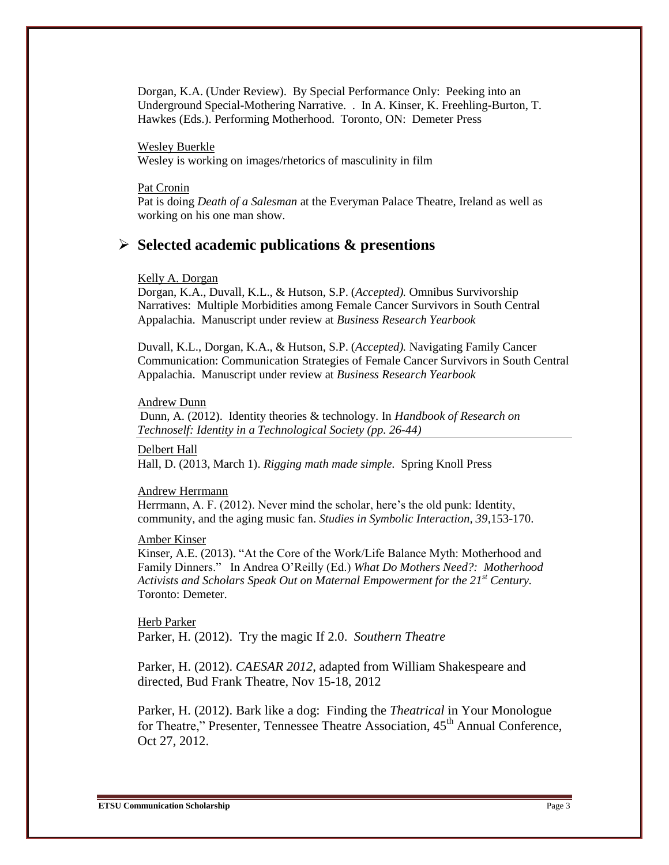Dorgan, K.A. (Under Review). By Special Performance Only: Peeking into an Underground Special-Mothering Narrative. . In A. Kinser, K. Freehling-Burton, T. Hawkes (Eds.). Performing Motherhood. Toronto, ON: Demeter Press

Wesley Buerkle

Wesley is working on images/rhetorics of masculinity in film

#### Pat Cronin

Pat is doing *Death of a Salesman* at the Everyman Palace Theatre, Ireland as well as working on his one man show.

### **Selected academic publications & presentions**

#### Kelly A. Dorgan

Dorgan, K.A., Duvall, K.L., & Hutson, S.P. (*Accepted).* Omnibus Survivorship Narratives: Multiple Morbidities among Female Cancer Survivors in South Central Appalachia. Manuscript under review at *Business Research Yearbook*

Duvall, K.L., Dorgan, K.A., & Hutson, S.P. (*Accepted).* Navigating Family Cancer Communication: Communication Strategies of Female Cancer Survivors in South Central Appalachia. Manuscript under review at *Business Research Yearbook*

#### Andrew Dunn

Dunn, A. (2012). Identity theories & technology. In *Handbook of Research on Technoself: Identity in a Technological Society (pp. 26-44)*

Delbert Hall Hall, D. (2013, March 1). *Rigging math made simple.* Spring Knoll Press

#### Andrew Herrmann

Herrmann, A. F. (2012). Never mind the scholar, here's the old punk: Identity, community, and the aging music fan. *Studies in Symbolic Interaction, 39*,153-170.

#### Amber Kinser

Kinser, A.E. (2013). "At the Core of the Work/Life Balance Myth: Motherhood and Family Dinners." In Andrea O'Reilly (Ed.) *What Do Mothers Need?: Motherhood Activists and Scholars Speak Out on Maternal Empowerment for the 21st Century.*  Toronto: Demeter.

Herb Parker Parker, H. (2012). Try the magic If 2.0. *Southern Theatre*

Parker, H. (2012). *CAESAR 2012*, adapted from William Shakespeare and directed, Bud Frank Theatre, Nov 15-18, 2012

Parker, H. (2012). Bark like a dog: Finding the *Theatrical* in Your Monologue for Theatre," Presenter, Tennessee Theatre Association, 45<sup>th</sup> Annual Conference, Oct 27, 2012.